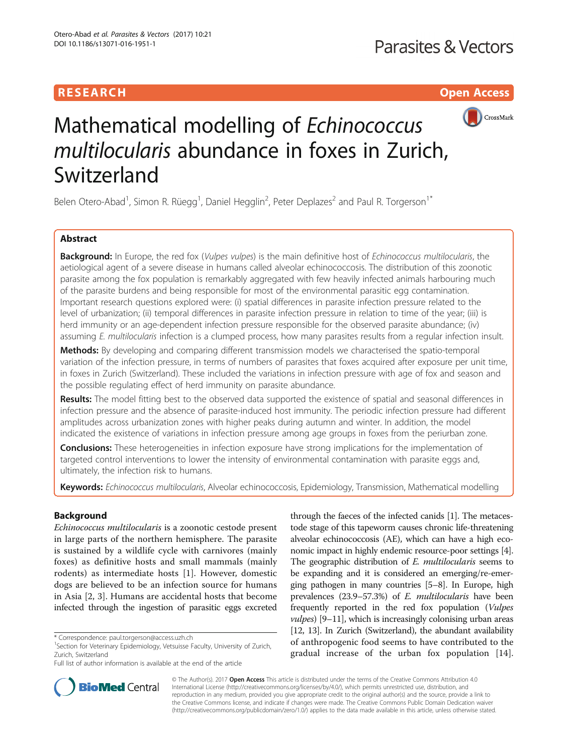# **RESEARCH CHILD CONTROL** CONTROL CONTROL CONTROL CONTROL CONTROL CONTROL CONTROL CONTROL CONTROL CONTROL CONTROL



# Mathematical modelling of Echinococcus multilocularis abundance in foxes in Zurich, Switzerland

Belen Otero-Abad<sup>1</sup>, Simon R. Rüegg<sup>1</sup>, Daniel Hegglin<sup>2</sup>, Peter Deplazes<sup>2</sup> and Paul R. Torgerson<sup>1\*</sup>

# Abstract

Background: In Europe, the red fox (Vulpes vulpes) is the main definitive host of Echinococcus multilocularis, the aetiological agent of a severe disease in humans called alveolar echinococcosis. The distribution of this zoonotic parasite among the fox population is remarkably aggregated with few heavily infected animals harbouring much of the parasite burdens and being responsible for most of the environmental parasitic egg contamination. Important research questions explored were: (i) spatial differences in parasite infection pressure related to the level of urbanization; (ii) temporal differences in parasite infection pressure in relation to time of the year; (iii) is herd immunity or an age-dependent infection pressure responsible for the observed parasite abundance; (iv) assuming E. multilocularis infection is a clumped process, how many parasites results from a regular infection insult.

**Methods:** By developing and comparing different transmission models we characterised the spatio-temporal variation of the infection pressure, in terms of numbers of parasites that foxes acquired after exposure per unit time, in foxes in Zurich (Switzerland). These included the variations in infection pressure with age of fox and season and the possible regulating effect of herd immunity on parasite abundance.

Results: The model fitting best to the observed data supported the existence of spatial and seasonal differences in infection pressure and the absence of parasite-induced host immunity. The periodic infection pressure had different amplitudes across urbanization zones with higher peaks during autumn and winter. In addition, the model indicated the existence of variations in infection pressure among age groups in foxes from the periurban zone.

**Conclusions:** These heterogeneities in infection exposure have strong implications for the implementation of targeted control interventions to lower the intensity of environmental contamination with parasite eggs and, ultimately, the infection risk to humans.

Keywords: Echinococcus multilocularis, Alveolar echinococcosis, Epidemiology, Transmission, Mathematical modelling

# Background

Echinococcus multilocularis is a zoonotic cestode present in large parts of the northern hemisphere. The parasite is sustained by a wildlife cycle with carnivores (mainly foxes) as definitive hosts and small mammals (mainly rodents) as intermediate hosts [[1](#page-10-0)]. However, domestic dogs are believed to be an infection source for humans in Asia [\[2](#page-10-0), [3](#page-10-0)]. Humans are accidental hosts that become infected through the ingestion of parasitic eggs excreted

through the faeces of the infected canids [\[1\]](#page-10-0). The metacestode stage of this tapeworm causes chronic life-threatening alveolar echinococcosis (AE), which can have a high economic impact in highly endemic resource-poor settings [[4](#page-10-0)]. The geographic distribution of E. multilocularis seems to be expanding and it is considered an emerging/re-emerging pathogen in many countries [\[5](#page-10-0)–[8](#page-10-0)]. In Europe, high prevalences (23.9–57.3%) of E. multilocularis have been frequently reported in the red fox population (Vulpes  $vulpes$ ) [[9](#page-10-0)-[11\]](#page-10-0), which is increasingly colonising urban areas [[12](#page-10-0), [13](#page-10-0)]. In Zurich (Switzerland), the abundant availability of anthropogenic food seems to have contributed to the gradual increase of the urban fox population [\[14](#page-10-0)].



© The Author(s). 2017 **Open Access** This article is distributed under the terms of the Creative Commons Attribution 4.0 International License [\(http://creativecommons.org/licenses/by/4.0/](http://creativecommons.org/licenses/by/4.0/)), which permits unrestricted use, distribution, and reproduction in any medium, provided you give appropriate credit to the original author(s) and the source, provide a link to the Creative Commons license, and indicate if changes were made. The Creative Commons Public Domain Dedication waiver [\(http://creativecommons.org/publicdomain/zero/1.0/](http://creativecommons.org/publicdomain/zero/1.0/)) applies to the data made available in this article, unless otherwise stated.

<sup>\*</sup> Correspondence: [paul.torgerson@access.uzh.ch](mailto:paul.torgerson@access.uzh.ch) <sup>1</sup>

 $1$ Section for Veterinary Epidemiology, Vetsuisse Faculty, University of Zurich, Zurich, Switzerland

Full list of author information is available at the end of the article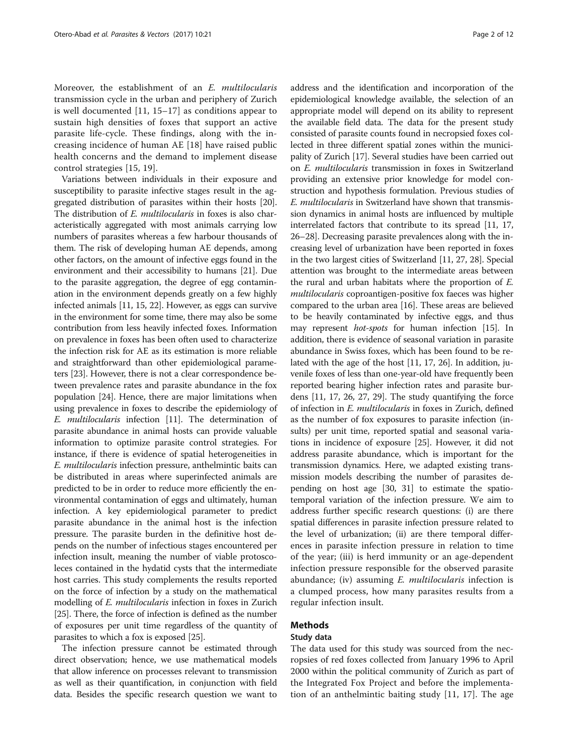Moreover, the establishment of an E. multilocularis transmission cycle in the urban and periphery of Zurich is well documented [[11, 15](#page-10-0)–[17](#page-10-0)] as conditions appear to sustain high densities of foxes that support an active parasite life-cycle. These findings, along with the increasing incidence of human AE [[18](#page-10-0)] have raised public health concerns and the demand to implement disease control strategies [[15, 19\]](#page-10-0).

Variations between individuals in their exposure and susceptibility to parasite infective stages result in the aggregated distribution of parasites within their hosts [[20](#page-10-0)]. The distribution of *E. multilocularis* in foxes is also characteristically aggregated with most animals carrying low numbers of parasites whereas a few harbour thousands of them. The risk of developing human AE depends, among other factors, on the amount of infective eggs found in the environment and their accessibility to humans [\[21\]](#page-10-0). Due to the parasite aggregation, the degree of egg contamination in the environment depends greatly on a few highly infected animals [[11](#page-10-0), [15, 22](#page-10-0)]. However, as eggs can survive in the environment for some time, there may also be some contribution from less heavily infected foxes. Information on prevalence in foxes has been often used to characterize the infection risk for AE as its estimation is more reliable and straightforward than other epidemiological parameters [\[23\]](#page-10-0). However, there is not a clear correspondence between prevalence rates and parasite abundance in the fox population [\[24](#page-10-0)]. Hence, there are major limitations when using prevalence in foxes to describe the epidemiology of E. multilocularis infection [[11](#page-10-0)]. The determination of parasite abundance in animal hosts can provide valuable information to optimize parasite control strategies. For instance, if there is evidence of spatial heterogeneities in E. multilocularis infection pressure, anthelmintic baits can be distributed in areas where superinfected animals are predicted to be in order to reduce more efficiently the environmental contamination of eggs and ultimately, human infection. A key epidemiological parameter to predict parasite abundance in the animal host is the infection pressure. The parasite burden in the definitive host depends on the number of infectious stages encountered per infection insult, meaning the number of viable protoscoleces contained in the hydatid cysts that the intermediate host carries. This study complements the results reported on the force of infection by a study on the mathematical modelling of E. multilocularis infection in foxes in Zurich [[25](#page-10-0)]. There, the force of infection is defined as the number of exposures per unit time regardless of the quantity of parasites to which a fox is exposed [\[25\]](#page-10-0).

The infection pressure cannot be estimated through direct observation; hence, we use mathematical models that allow inference on processes relevant to transmission as well as their quantification, in conjunction with field data. Besides the specific research question we want to address and the identification and incorporation of the epidemiological knowledge available, the selection of an appropriate model will depend on its ability to represent the available field data. The data for the present study consisted of parasite counts found in necropsied foxes collected in three different spatial zones within the municipality of Zurich [[17](#page-10-0)]. Several studies have been carried out on E. multilocularis transmission in foxes in Switzerland providing an extensive prior knowledge for model construction and hypothesis formulation. Previous studies of E. multilocularis in Switzerland have shown that transmission dynamics in animal hosts are influenced by multiple interrelated factors that contribute to its spread [[11](#page-10-0), [17](#page-10-0), [26](#page-10-0)–[28\]](#page-10-0). Decreasing parasite prevalences along with the increasing level of urbanization have been reported in foxes in the two largest cities of Switzerland [[11](#page-10-0), [27, 28](#page-10-0)]. Special attention was brought to the intermediate areas between the rural and urban habitats where the proportion of E. multilocularis coproantigen-positive fox faeces was higher compared to the urban area [\[16\]](#page-10-0). These areas are believed to be heavily contaminated by infective eggs, and thus may represent hot-spots for human infection [\[15\]](#page-10-0). In addition, there is evidence of seasonal variation in parasite abundance in Swiss foxes, which has been found to be related with the age of the host [\[11, 17](#page-10-0), [26](#page-10-0)]. In addition, juvenile foxes of less than one-year-old have frequently been reported bearing higher infection rates and parasite burdens [[11](#page-10-0), [17, 26, 27](#page-10-0), [29\]](#page-10-0). The study quantifying the force of infection in E. multilocularis in foxes in Zurich, defined as the number of fox exposures to parasite infection (insults) per unit time, reported spatial and seasonal variations in incidence of exposure [[25\]](#page-10-0). However, it did not address parasite abundance, which is important for the transmission dynamics. Here, we adapted existing transmission models describing the number of parasites depending on host age [[30, 31\]](#page-10-0) to estimate the spatiotemporal variation of the infection pressure. We aim to address further specific research questions: (i) are there spatial differences in parasite infection pressure related to the level of urbanization; (ii) are there temporal differences in parasite infection pressure in relation to time of the year; (iii) is herd immunity or an age-dependent infection pressure responsible for the observed parasite abundance; (iv) assuming *E. multilocularis* infection is a clumped process, how many parasites results from a regular infection insult.

# Methods

# Study data

The data used for this study was sourced from the necropsies of red foxes collected from January 1996 to April 2000 within the political community of Zurich as part of the Integrated Fox Project and before the implementation of an anthelmintic baiting study [\[11](#page-10-0), [17](#page-10-0)]. The age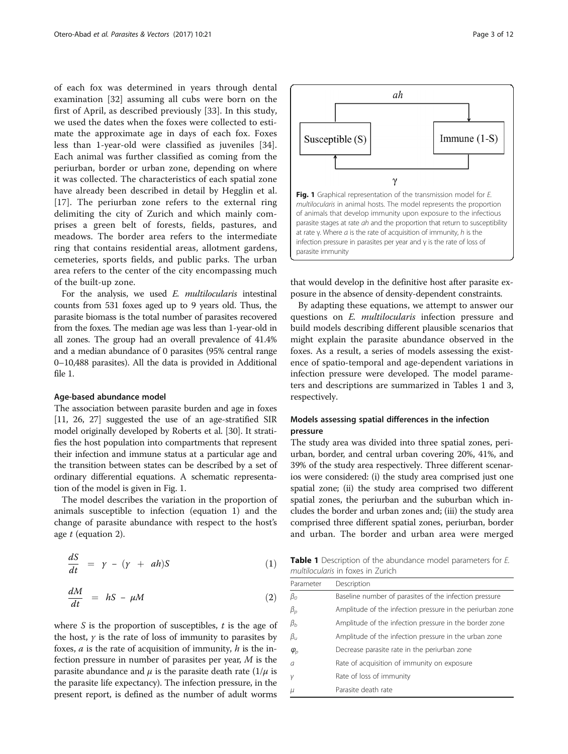<span id="page-2-0"></span>of each fox was determined in years through dental examination [[32\]](#page-10-0) assuming all cubs were born on the first of April, as described previously [\[33](#page-10-0)]. In this study, we used the dates when the foxes were collected to estimate the approximate age in days of each fox. Foxes less than 1-year-old were classified as juveniles [\[34](#page-10-0)]. Each animal was further classified as coming from the periurban, border or urban zone, depending on where it was collected. The characteristics of each spatial zone have already been described in detail by Hegglin et al. [[17\]](#page-10-0). The periurban zone refers to the external ring delimiting the city of Zurich and which mainly comprises a green belt of forests, fields, pastures, and meadows. The border area refers to the intermediate ring that contains residential areas, allotment gardens, cemeteries, sports fields, and public parks. The urban area refers to the center of the city encompassing much of the built-up zone.

For the analysis, we used E. multilocularis intestinal counts from 531 foxes aged up to 9 years old. Thus, the parasite biomass is the total number of parasites recovered from the foxes. The median age was less than 1-year-old in all zones. The group had an overall prevalence of 41.4% and a median abundance of 0 parasites (95% central range 0–10,488 parasites). All the data is provided in Additional file [1.](#page-9-0)

#### Age-based abundance model

The association between parasite burden and age in foxes [[11](#page-10-0), [26](#page-10-0), [27](#page-10-0)] suggested the use of an age-stratified SIR model originally developed by Roberts et al. [[30](#page-10-0)]. It stratifies the host population into compartments that represent their infection and immune status at a particular age and the transition between states can be described by a set of ordinary differential equations. A schematic representation of the model is given in Fig. 1.

The model describes the variation in the proportion of animals susceptible to infection (equation 1) and the change of parasite abundance with respect to the host's age t (equation 2).

$$
\frac{dS}{dt} = \gamma - (\gamma + ah)S \tag{1}
$$

$$
\frac{dM}{dt} = hS - \mu M \tag{2}
$$

where  $S$  is the proportion of susceptibles,  $t$  is the age of the host,  $\gamma$  is the rate of loss of immunity to parasites by foxes,  $a$  is the rate of acquisition of immunity,  $h$  is the infection pressure in number of parasites per year, M is the parasite abundance and  $\mu$  is the parasite death rate (1/ $\mu$  is the parasite life expectancy). The infection pressure, in the present report, is defined as the number of adult worms



that would develop in the definitive host after parasite exposure in the absence of density-dependent constraints.

By adapting these equations, we attempt to answer our questions on E. multilocularis infection pressure and build models describing different plausible scenarios that might explain the parasite abundance observed in the foxes. As a result, a series of models assessing the existence of spatio-temporal and age-dependent variations in infection pressure were developed. The model parameters and descriptions are summarized in Tables 1 and [3](#page-6-0), respectively.

# Models assessing spatial differences in the infection pressure

The study area was divided into three spatial zones, periurban, border, and central urban covering 20%, 41%, and 39% of the study area respectively. Three different scenarios were considered: (i) the study area comprised just one spatial zone; (ii) the study area comprised two different spatial zones, the periurban and the suburban which includes the border and urban zones and; (iii) the study area comprised three different spatial zones, periurban, border and urban. The border and urban area were merged

Table 1 Description of the abundance model parameters for E. multilocularis in foxes in Zurich

| Parameter                         | Description                                               |
|-----------------------------------|-----------------------------------------------------------|
| $\beta_{0}$                       | Baseline number of parasites of the infection pressure    |
| $\beta_p$                         | Amplitude of the infection pressure in the periurban zone |
| $\beta_b$                         | Amplitude of the infection pressure in the border zone    |
| $\beta_{\scriptscriptstyle U}$    | Amplitude of the infection pressure in the urban zone     |
| $\varphi_{\scriptscriptstyle{p}}$ | Decrease parasite rate in the periurban zone              |
| $\overline{a}$                    | Rate of acquisition of immunity on exposure               |
|                                   | Rate of loss of immunity                                  |
| $\mu$                             | Parasite death rate                                       |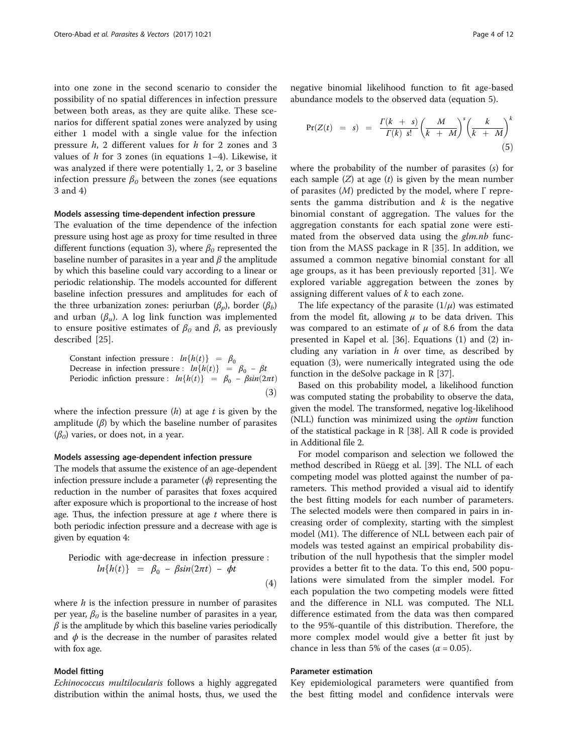into one zone in the second scenario to consider the possibility of no spatial differences in infection pressure between both areas, as they are quite alike. These scenarios for different spatial zones were analyzed by using either 1 model with a single value for the infection pressure h, 2 different values for h for 2 zones and 3 values of  $h$  for 3 zones (in equations 1–4). Likewise, it was analyzed if there were potentially 1, 2, or 3 baseline infection pressure  $\beta_0$  between the zones (see equations 3 and 4)

## Models assessing time-dependent infection pressure

The evaluation of the time dependence of the infection pressure using host age as proxy for time resulted in three different functions (equation 3), where  $\beta_0$  represented the baseline number of parasites in a year and  $\beta$  the amplitude by which this baseline could vary according to a linear or periodic relationship. The models accounted for different baseline infection pressures and amplitudes for each of the three urbanization zones: periurban  $(\beta_n)$ , border  $(\beta_h)$ and urban  $(\beta_u)$ . A log link function was implemented to ensure positive estimates of  $\beta_0$  and  $\beta$ , as previously described [\[25](#page-10-0)].

Constant infection pressure :  $ln{h(t)} = \beta_0$ Decrease in infection pressure :  $ln{h(t)} = \beta_0 - \beta t$ Periodic infiction pressure :  $ln{h(t)} = \beta_0 - \beta sin(2\pi t)$  $(3)$ 

where the infection pressure  $(h)$  at age t is given by the amplitude  $(\beta)$  by which the baseline number of parasites  $(\beta_0)$  varies, or does not, in a year.

# Models assessing age-dependent infection pressure

The models that assume the existence of an age-dependent infection pressure include a parameter  $(\phi)$  representing the reduction in the number of parasites that foxes acquired after exposure which is proportional to the increase of host age. Thus, the infection pressure at age  $t$  where there is both periodic infection pressure and a decrease with age is given by equation 4:

Periodic with age-decrease in infection pressure :  
\n
$$
ln{h(t)} = \beta_0 - \beta sin(2\pi t) - \phi t
$$
\n(4)

where  $h$  is the infection pressure in number of parasites per year,  $\beta_0$  is the baseline number of parasites in a year,  $\beta$  is the amplitude by which this baseline varies periodically and  $\phi$  is the decrease in the number of parasites related with fox age.

## Model fitting

Echinococcus multilocularis follows a highly aggregated distribution within the animal hosts, thus, we used the

negative binomial likelihood function to fit age-based abundance models to the observed data (equation 5).

$$
Pr(Z(t) = s) = \frac{\Gamma(k + s)}{\Gamma(k) s!} \left(\frac{M}{k + M}\right)^s \left(\frac{k}{k + M}\right)^k \tag{5}
$$

where the probability of the number of parasites (s) for each sample  $(Z)$  at age  $(t)$  is given by the mean number of parasites  $(M)$  predicted by the model, where  $\Gamma$  represents the gamma distribution and  $k$  is the negative binomial constant of aggregation. The values for the aggregation constants for each spatial zone were estimated from the observed data using the *glm.nb* function from the MASS package in R [[35](#page-10-0)]. In addition, we assumed a common negative binomial constant for all age groups, as it has been previously reported [\[31](#page-10-0)]. We explored variable aggregation between the zones by assigning different values of  $k$  to each zone.

The life expectancy of the parasite  $(1/\mu)$  was estimated from the model fit, allowing  $\mu$  to be data driven. This was compared to an estimate of  $\mu$  of 8.6 from the data presented in Kapel et al. [[36](#page-10-0)]. Equations [\(1\)](#page-2-0) and [\(2\)](#page-2-0) including any variation in  $h$  over time, as described by equation (3), were numerically integrated using the ode function in the deSolve package in R [\[37\]](#page-10-0).

Based on this probability model, a likelihood function was computed stating the probability to observe the data, given the model. The transformed, negative log-likelihood (NLL) function was minimized using the optim function of the statistical package in R [[38\]](#page-10-0). All R code is provided in Additional file [2.](#page-9-0)

For model comparison and selection we followed the method described in Rüegg et al. [\[39](#page-10-0)]. The NLL of each competing model was plotted against the number of parameters. This method provided a visual aid to identify the best fitting models for each number of parameters. The selected models were then compared in pairs in increasing order of complexity, starting with the simplest model (M1). The difference of NLL between each pair of models was tested against an empirical probability distribution of the null hypothesis that the simpler model provides a better fit to the data. To this end, 500 populations were simulated from the simpler model. For each population the two competing models were fitted and the difference in NLL was computed. The NLL difference estimated from the data was then compared to the 95%-quantile of this distribution. Therefore, the more complex model would give a better fit just by chance in less than 5% of the cases ( $\alpha$  = 0.05).

## Parameter estimation

Key epidemiological parameters were quantified from the best fitting model and confidence intervals were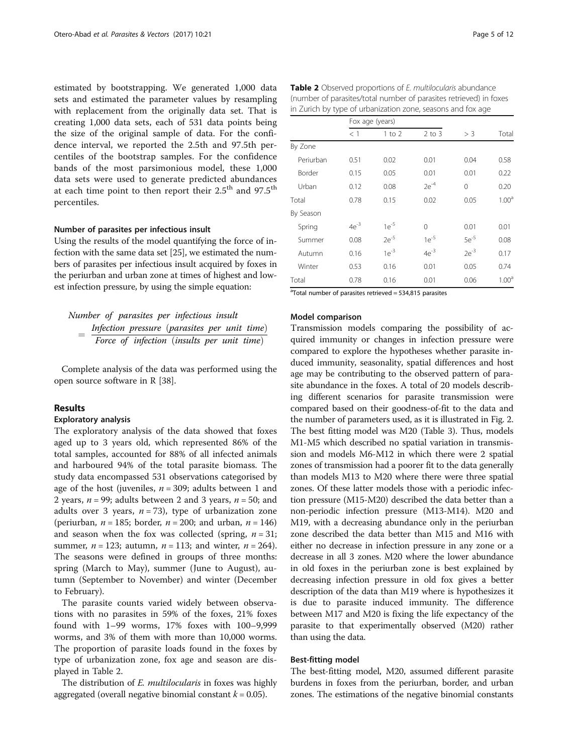estimated by bootstrapping. We generated 1,000 data sets and estimated the parameter values by resampling with replacement from the originally data set. That is creating 1,000 data sets, each of 531 data points being the size of the original sample of data. For the confidence interval, we reported the 2.5th and 97.5th percentiles of the bootstrap samples. For the confidence bands of the most parsimonious model, these 1,000 data sets were used to generate predicted abundances at each time point to then report their 2.5<sup>th</sup> and 97.5<sup>th</sup> percentiles.

### Number of parasites per infectious insult

Using the results of the model quantifying the force of infection with the same data set [\[25\]](#page-10-0), we estimated the numbers of parasites per infectious insult acquired by foxes in the periurban and urban zone at times of highest and lowest infection pressure, by using the simple equation:

Number of parasites per infectious insult  $=\frac{Infection\ pressure\ (parasites\ per\ unit\ time)}{Force\ of\ infection\ (insults\ per\ unit\ time)}$ 

Complete analysis of the data was performed using the open source software in R [[38](#page-10-0)].

## Results

### Exploratory analysis

The exploratory analysis of the data showed that foxes aged up to 3 years old, which represented 86% of the total samples, accounted for 88% of all infected animals and harboured 94% of the total parasite biomass. The study data encompassed 531 observations categorised by age of the host (juveniles,  $n = 309$ ; adults between 1 and 2 years,  $n = 99$ ; adults between 2 and 3 years,  $n = 50$ ; and adults over 3 years,  $n = 73$ ), type of urbanization zone (periurban,  $n = 185$ ; border,  $n = 200$ ; and urban,  $n = 146$ ) and season when the fox was collected (spring,  $n = 31$ ; summer,  $n = 123$ ; autumn,  $n = 113$ ; and winter,  $n = 264$ ). The seasons were defined in groups of three months: spring (March to May), summer (June to August), autumn (September to November) and winter (December to February).

The parasite counts varied widely between observations with no parasites in 59% of the foxes, 21% foxes found with 1–99 worms, 17% foxes with 100–9,999 worms, and 3% of them with more than 10,000 worms. The proportion of parasite loads found in the foxes by type of urbanization zone, fox age and season are displayed in Table 2.

The distribution of *E. multilocularis* in foxes was highly aggregated (overall negative binomial constant  $k = 0.05$ ).

| <b>Table 2</b> Observed proportions of E. multilocularis abundance |
|--------------------------------------------------------------------|
| (number of parasites/total number of parasites retrieved) in foxes |
| in Zurich by type of urbanization zone, seasons and fox age        |

|           | Fox age (years) |           |            |           |                   |
|-----------|-----------------|-----------|------------|-----------|-------------------|
|           | $<$ 1           | 1 to 2    | $2$ to $3$ | $>$ 3     | Total             |
| By Zone   |                 |           |            |           |                   |
| Periurban | 0.51            | 0.02      | 0.01       | 0.04      | 0.58              |
| Border    | 0.15            | 0.05      | 0.01       | 0.01      | 0.22              |
| Urban     | 0.12            | 0.08      | $2e^{-4}$  | $\Omega$  | 0.20              |
| Total     | 0.78            | 0.15      | 0.02       | 0.05      | 1.00 <sup>a</sup> |
| By Season |                 |           |            |           |                   |
| Spring    | $4e^{-3}$       | $1e^{-5}$ | $\Omega$   | 0.01      | 0.01              |
| Summer    | 0.08            | $2e^{-5}$ | $1e^{-5}$  | $5e^{-5}$ | 0.08              |
| Autumn    | 0.16            | $1e^{-3}$ | $4e^{-3}$  | $2e^{-3}$ | 0.17              |
| Winter    | 0.53            | 0.16      | 0.01       | 0.05      | 0.74              |
| Total     | 0.78            | 0.16      | 0.01       | 0.06      | 1.00 <sup>a</sup> |

<sup>a</sup>Total number of parasites retrieved = 534,815 parasites

## Model comparison

Transmission models comparing the possibility of acquired immunity or changes in infection pressure were compared to explore the hypotheses whether parasite induced immunity, seasonality, spatial differences and host age may be contributing to the observed pattern of parasite abundance in the foxes. A total of 20 models describing different scenarios for parasite transmission were compared based on their goodness-of-fit to the data and the number of parameters used, as it is illustrated in Fig. [2](#page-5-0). The best fitting model was M20 (Table [3\)](#page-6-0). Thus, models M1-M5 which described no spatial variation in transmission and models M6-M12 in which there were 2 spatial zones of transmission had a poorer fit to the data generally than models M13 to M20 where there were three spatial zones. Of these latter models those with a periodic infection pressure (M15-M20) described the data better than a non-periodic infection pressure (M13-M14). M20 and M19, with a decreasing abundance only in the periurban zone described the data better than M15 and M16 with either no decrease in infection pressure in any zone or a decrease in all 3 zones. M20 where the lower abundance in old foxes in the periurban zone is best explained by decreasing infection pressure in old fox gives a better description of the data than M19 where is hypothesizes it is due to parasite induced immunity. The difference between M17 and M20 is fixing the life expectancy of the parasite to that experimentally observed (M20) rather than using the data.

#### Best-fitting model

The best-fitting model, M20, assumed different parasite burdens in foxes from the periurban, border, and urban zones. The estimations of the negative binomial constants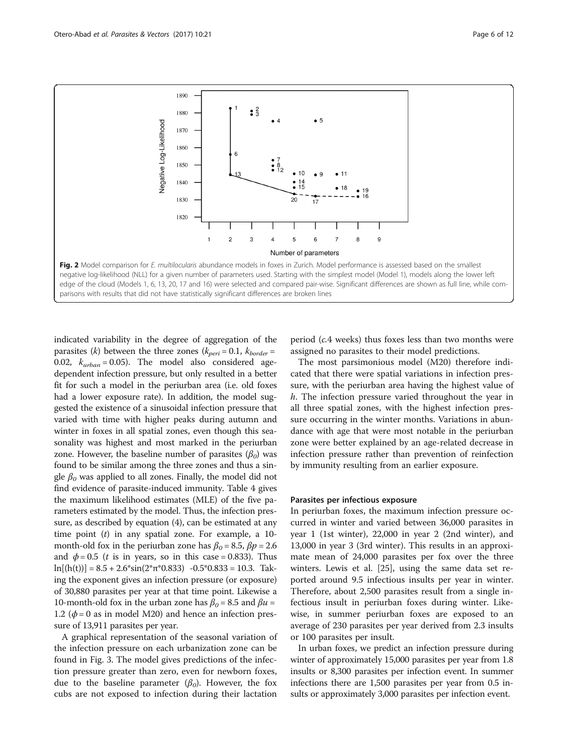<span id="page-5-0"></span>

indicated variability in the degree of aggregation of the parasites (k) between the three zones ( $k_{peri} = 0.1$ ,  $k_{border} =$ 0.02,  $k_{urban} = 0.05$ ). The model also considered agedependent infection pressure, but only resulted in a better fit for such a model in the periurban area (i.e. old foxes had a lower exposure rate). In addition, the model suggested the existence of a sinusoidal infection pressure that varied with time with higher peaks during autumn and winter in foxes in all spatial zones, even though this seasonality was highest and most marked in the periurban zone. However, the baseline number of parasites  $(\beta_0)$  was found to be similar among the three zones and thus a single  $\beta_0$  was applied to all zones. Finally, the model did not find evidence of parasite-induced immunity. Table [4](#page-6-0) gives the maximum likelihood estimates (MLE) of the five parameters estimated by the model. Thus, the infection pressure, as described by equation (4), can be estimated at any time point  $(t)$  in any spatial zone. For example, a 10month-old fox in the periurban zone has  $\beta_0 = 8.5$ ,  $\beta p = 2.6$ and  $\phi = 0.5$  (*t* is in years, so in this case = 0.833). Thus  $\ln[(h(t))] = 8.5 + 2.6*sin(2* \pi * 0.833) - 0.5*0.833 = 10.3$ . Taking the exponent gives an infection pressure (or exposure) of 30,880 parasites per year at that time point. Likewise a 10-month-old fox in the urban zone has  $\beta_0 = 8.5$  and  $\beta u =$ 1.2 ( $\phi$  = 0 as in model M20) and hence an infection pressure of 13,911 parasites per year.

A graphical representation of the seasonal variation of the infection pressure on each urbanization zone can be found in Fig. [3.](#page-7-0) The model gives predictions of the infection pressure greater than zero, even for newborn foxes, due to the baseline parameter  $(\beta_0)$ . However, the fox cubs are not exposed to infection during their lactation

period (c.4 weeks) thus foxes less than two months were assigned no parasites to their model predictions.

The most parsimonious model (M20) therefore indicated that there were spatial variations in infection pressure, with the periurban area having the highest value of h. The infection pressure varied throughout the year in all three spatial zones, with the highest infection pressure occurring in the winter months. Variations in abundance with age that were most notable in the periurban zone were better explained by an age-related decrease in infection pressure rather than prevention of reinfection by immunity resulting from an earlier exposure.

## Parasites per infectious exposure

In periurban foxes, the maximum infection pressure occurred in winter and varied between 36,000 parasites in year 1 (1st winter), 22,000 in year 2 (2nd winter), and 13,000 in year 3 (3rd winter). This results in an approximate mean of 24,000 parasites per fox over the three winters. Lewis et al. [[25\]](#page-10-0), using the same data set reported around 9.5 infectious insults per year in winter. Therefore, about 2,500 parasites result from a single infectious insult in periurban foxes during winter. Likewise, in summer periurban foxes are exposed to an average of 230 parasites per year derived from 2.3 insults or 100 parasites per insult.

In urban foxes, we predict an infection pressure during winter of approximately 15,000 parasites per year from 1.8 insults or 8,300 parasites per infection event. In summer infections there are 1,500 parasites per year from 0.5 insults or approximately 3,000 parasites per infection event.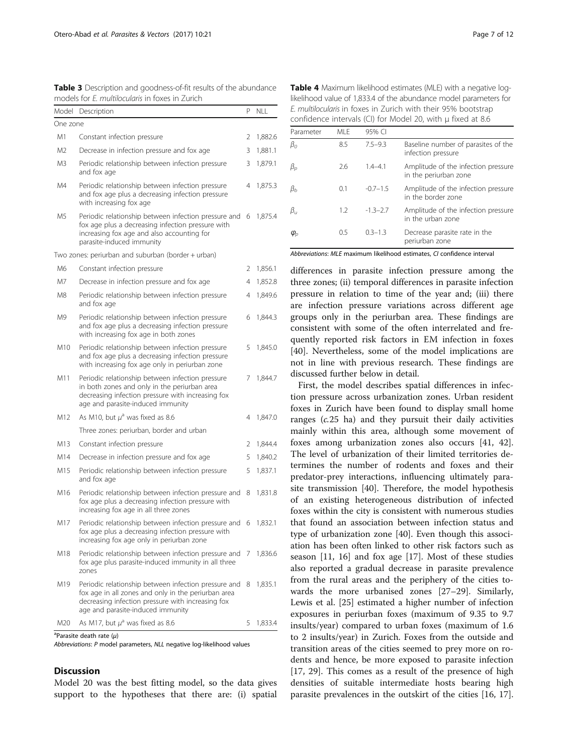| Model          | Description                                                                                                                                                                                           | P | NLL     |
|----------------|-------------------------------------------------------------------------------------------------------------------------------------------------------------------------------------------------------|---|---------|
| One zone       |                                                                                                                                                                                                       |   |         |
| M1             | Constant infection pressure                                                                                                                                                                           | 2 | 1,882.6 |
| M <sub>2</sub> | Decrease in infection pressure and fox age                                                                                                                                                            | 3 | 1,881.1 |
| M3             | Periodic relationship between infection pressure<br>and fox age                                                                                                                                       | 3 | 1,879.1 |
| M4             | Periodic relationship between infection pressure<br>and fox age plus a decreasing infection pressure<br>with increasing fox age                                                                       | 4 | 1,875.3 |
| M5             | Periodic relationship between infection pressure and<br>fox age plus a decreasing infection pressure with<br>increasing fox age and also accounting for<br>parasite-induced immunity                  | 6 | 1,875.4 |
|                | Two zones: periurban and suburban (border + urban)                                                                                                                                                    |   |         |
| M6             | Constant infection pressure                                                                                                                                                                           | 2 | 1,856.1 |
| M7             | Decrease in infection pressure and fox age                                                                                                                                                            | 4 | 1,852.8 |
| M8             | Periodic relationship between infection pressure<br>and fox age                                                                                                                                       | 4 | 1,849.6 |
| M9             | Periodic relationship between infection pressure<br>and fox age plus a decreasing infection pressure<br>with increasing fox age in both zones                                                         | 6 | 1,844.3 |
| M10            | Periodic relationship between infection pressure<br>and fox age plus a decreasing infection pressure<br>with increasing fox age only in periurban zone                                                | 5 | 1,845.0 |
| M11            | Periodic relationship between infection pressure<br>in both zones and only in the periurban area<br>decreasing infection pressure with increasing fox<br>age and parasite-induced immunity            | 7 | 1,844.7 |
| M12            | As M10, but $\mu^a$ was fixed as 8.6                                                                                                                                                                  | 4 | 1,847.0 |
|                | Three zones: periurban, border and urban                                                                                                                                                              |   |         |
| M13            | Constant infection pressure                                                                                                                                                                           | 2 | 1,844.4 |
| M14            | Decrease in infection pressure and fox age                                                                                                                                                            | 5 | 1,840.2 |
| M15            | Periodic relationship between infection pressure<br>and fox age                                                                                                                                       | 5 | 1,837.1 |
| M16            | Periodic relationship between infection pressure and<br>fox age plus a decreasing infection pressure with<br>increasing fox age in all three zones                                                    | 8 | 1,831.8 |
| M17            | Periodic relationship between infection pressure and<br>fox age plus a decreasing infection pressure with<br>increasing fox age only in periurban zone                                                | 6 | 1,832.1 |
| M18            | Periodic relationship between infection pressure and 7 1,836.6<br>fox age plus parasite-induced immunity in all three<br>zones                                                                        |   |         |
| M19            | Periodic relationship between infection pressure and<br>fox age in all zones and only in the periurban area<br>decreasing infection pressure with increasing fox<br>age and parasite-induced immunity | 8 | 1,835.1 |
| M20            | As M17, but $\mu^a$ was fixed as 8.6                                                                                                                                                                  | 5 | 1,833.4 |

<span id="page-6-0"></span>Table 3 Description and goodness-of-fit results of the abundance models for E. multilocularis in foxes in Zurich

<sup>a</sup>Parasite death rate  $(\mu)$ 

Abbreviations: P model parameters, NLL negative log-likelihood values

#### **Discussion**

Model 20 was the best fitting model, so the data gives support to the hypotheses that there are: (i) spatial

Table 4 Maximum likelihood estimates (MLE) with a negative loglikelihood value of 1,833.4 of the abundance model parameters for E. multilocularis in foxes in Zurich with their 95% bootstrap

| CONTRACTICE THEORIS (CI) TOT MOUCH ZU, WILLE BETACURATED. |      |              |                                                              |  |  |
|-----------------------------------------------------------|------|--------------|--------------------------------------------------------------|--|--|
| Parameter                                                 | MI F | 95% CI       |                                                              |  |  |
| $\beta_{0}$                                               | 8.5  | $7.5 - 9.3$  | Baseline number of parasites of the<br>infection pressure    |  |  |
| $\beta_{\scriptscriptstyle D}$                            | 2.6  | $1.4 - 4.1$  | Amplitude of the infection pressure<br>in the periurban zone |  |  |
| $\beta_h$                                                 | 0.1  | $-0.7-1.5$   | Amplitude of the infection pressure<br>in the border zone    |  |  |
| $\beta_u$                                                 | 1.2  | $-1.3 - 2.7$ | Amplitude of the infection pressure<br>in the urban zone     |  |  |
| $\varphi_{\scriptscriptstyle D}$                          | 0.5  | $0.3 - 1.3$  | Decrease parasite rate in the<br>periurban zone              |  |  |

confidence intervals (CI) for Model 20, with μ fixed at 8.6

Abbreviations: MLE maximum likelihood estimates, CI confidence interval

differences in parasite infection pressure among the three zones; (ii) temporal differences in parasite infection pressure in relation to time of the year and; (iii) there are infection pressure variations across different age groups only in the periurban area. These findings are consistent with some of the often interrelated and frequently reported risk factors in EM infection in foxes [[40\]](#page-10-0). Nevertheless, some of the model implications are not in line with previous research. These findings are discussed further below in detail.

First, the model describes spatial differences in infection pressure across urbanization zones. Urban resident foxes in Zurich have been found to display small home ranges (c.25 ha) and they pursuit their daily activities mainly within this area, although some movement of foxes among urbanization zones also occurs [\[41,](#page-10-0) [42](#page-11-0)]. The level of urbanization of their limited territories determines the number of rodents and foxes and their predator-prey interactions, influencing ultimately parasite transmission [\[40](#page-10-0)]. Therefore, the model hypothesis of an existing heterogeneous distribution of infected foxes within the city is consistent with numerous studies that found an association between infection status and type of urbanization zone [\[40\]](#page-10-0). Even though this association has been often linked to other risk factors such as season [[11, 16\]](#page-10-0) and fox age [[17\]](#page-10-0). Most of these studies also reported a gradual decrease in parasite prevalence from the rural areas and the periphery of the cities towards the more urbanised zones [[27](#page-10-0)–[29](#page-10-0)]. Similarly, Lewis et al. [\[25](#page-10-0)] estimated a higher number of infection exposures in periurban foxes (maximum of 9.35 to 9.7 insults/year) compared to urban foxes (maximum of 1.6 to 2 insults/year) in Zurich. Foxes from the outside and transition areas of the cities seemed to prey more on rodents and hence, be more exposed to parasite infection [[17, 29](#page-10-0)]. This comes as a result of the presence of high densities of suitable intermediate hosts bearing high parasite prevalences in the outskirt of the cities [\[16, 17](#page-10-0)].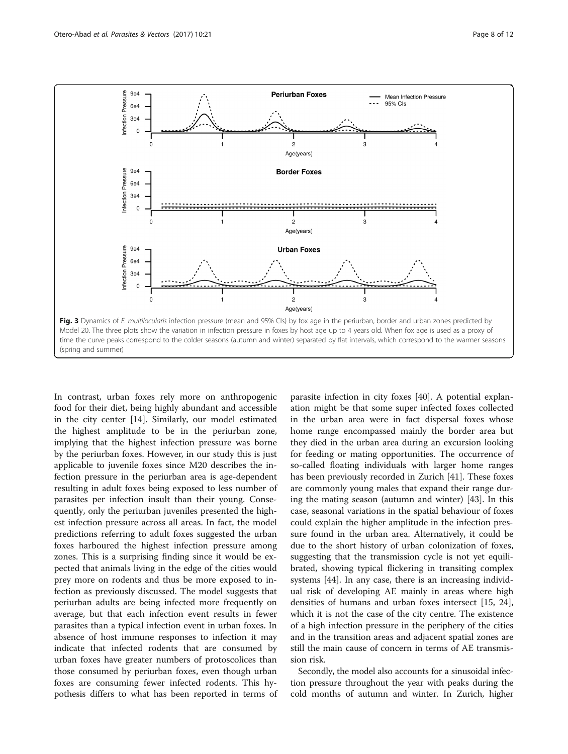<span id="page-7-0"></span>

In contrast, urban foxes rely more on anthropogenic food for their diet, being highly abundant and accessible in the city center [[14](#page-10-0)]. Similarly, our model estimated the highest amplitude to be in the periurban zone, implying that the highest infection pressure was borne by the periurban foxes. However, in our study this is just applicable to juvenile foxes since M20 describes the infection pressure in the periurban area is age-dependent resulting in adult foxes being exposed to less number of parasites per infection insult than their young. Consequently, only the periurban juveniles presented the highest infection pressure across all areas. In fact, the model predictions referring to adult foxes suggested the urban foxes harboured the highest infection pressure among zones. This is a surprising finding since it would be expected that animals living in the edge of the cities would prey more on rodents and thus be more exposed to infection as previously discussed. The model suggests that periurban adults are being infected more frequently on average, but that each infection event results in fewer parasites than a typical infection event in urban foxes. In absence of host immune responses to infection it may indicate that infected rodents that are consumed by urban foxes have greater numbers of protoscolices than those consumed by periurban foxes, even though urban foxes are consuming fewer infected rodents. This hypothesis differs to what has been reported in terms of

parasite infection in city foxes [\[40](#page-10-0)]. A potential explanation might be that some super infected foxes collected in the urban area were in fact dispersal foxes whose home range encompassed mainly the border area but they died in the urban area during an excursion looking for feeding or mating opportunities. The occurrence of so-called floating individuals with larger home ranges has been previously recorded in Zurich [\[41\]](#page-10-0). These foxes are commonly young males that expand their range during the mating season (autumn and winter) [[43\]](#page-11-0). In this case, seasonal variations in the spatial behaviour of foxes could explain the higher amplitude in the infection pressure found in the urban area. Alternatively, it could be due to the short history of urban colonization of foxes, suggesting that the transmission cycle is not yet equilibrated, showing typical flickering in transiting complex systems [[44\]](#page-11-0). In any case, there is an increasing individual risk of developing AE mainly in areas where high densities of humans and urban foxes intersect [\[15](#page-10-0), [24](#page-10-0)], which it is not the case of the city centre. The existence of a high infection pressure in the periphery of the cities and in the transition areas and adjacent spatial zones are still the main cause of concern in terms of AE transmission risk.

Secondly, the model also accounts for a sinusoidal infection pressure throughout the year with peaks during the cold months of autumn and winter. In Zurich, higher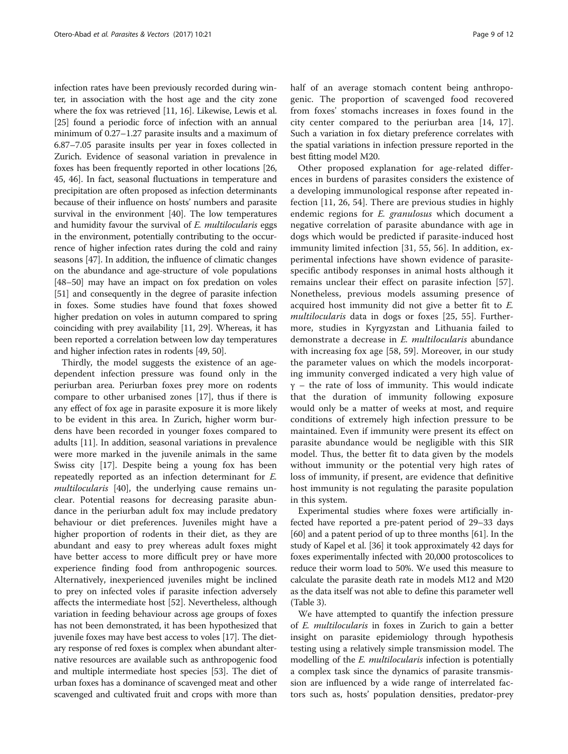infection rates have been previously recorded during winter, in association with the host age and the city zone where the fox was retrieved [\[11, 16](#page-10-0)]. Likewise, Lewis et al. [[25](#page-10-0)] found a periodic force of infection with an annual minimum of 0.27–1.27 parasite insults and a maximum of 6.87–7.05 parasite insults per year in foxes collected in Zurich. Evidence of seasonal variation in prevalence in foxes has been frequently reported in other locations [[26](#page-10-0), [45](#page-11-0), [46\]](#page-11-0). In fact, seasonal fluctuations in temperature and precipitation are often proposed as infection determinants because of their influence on hosts' numbers and parasite survival in the environment [[40](#page-10-0)]. The low temperatures and humidity favour the survival of E. multilocularis eggs in the environment, potentially contributing to the occurrence of higher infection rates during the cold and rainy seasons [[47](#page-11-0)]. In addition, the influence of climatic changes on the abundance and age-structure of vole populations [[48](#page-11-0)–[50\]](#page-11-0) may have an impact on fox predation on voles [[51](#page-11-0)] and consequently in the degree of parasite infection in foxes. Some studies have found that foxes showed higher predation on voles in autumn compared to spring coinciding with prey availability [[11](#page-10-0), [29\]](#page-10-0). Whereas, it has been reported a correlation between low day temperatures and higher infection rates in rodents [\[49, 50](#page-11-0)].

Thirdly, the model suggests the existence of an agedependent infection pressure was found only in the periurban area. Periurban foxes prey more on rodents compare to other urbanised zones [[17](#page-10-0)], thus if there is any effect of fox age in parasite exposure it is more likely to be evident in this area. In Zurich, higher worm burdens have been recorded in younger foxes compared to adults [\[11](#page-10-0)]. In addition, seasonal variations in prevalence were more marked in the juvenile animals in the same Swiss city [[17\]](#page-10-0). Despite being a young fox has been repeatedly reported as an infection determinant for E. multilocularis [\[40](#page-10-0)], the underlying cause remains unclear. Potential reasons for decreasing parasite abundance in the periurban adult fox may include predatory behaviour or diet preferences. Juveniles might have a higher proportion of rodents in their diet, as they are abundant and easy to prey whereas adult foxes might have better access to more difficult prey or have more experience finding food from anthropogenic sources. Alternatively, inexperienced juveniles might be inclined to prey on infected voles if parasite infection adversely affects the intermediate host [\[52](#page-11-0)]. Nevertheless, although variation in feeding behaviour across age groups of foxes has not been demonstrated, it has been hypothesized that juvenile foxes may have best access to voles [\[17\]](#page-10-0). The dietary response of red foxes is complex when abundant alternative resources are available such as anthropogenic food and multiple intermediate host species [\[53](#page-11-0)]. The diet of urban foxes has a dominance of scavenged meat and other scavenged and cultivated fruit and crops with more than half of an average stomach content being anthropogenic. The proportion of scavenged food recovered from foxes' stomachs increases in foxes found in the city center compared to the periurban area [[14, 17](#page-10-0)]. Such a variation in fox dietary preference correlates with the spatial variations in infection pressure reported in the best fitting model M20.

Other proposed explanation for age-related differences in burdens of parasites considers the existence of a developing immunological response after repeated infection [[11, 26,](#page-10-0) [54](#page-11-0)]. There are previous studies in highly endemic regions for *E. granulosus* which document a negative correlation of parasite abundance with age in dogs which would be predicted if parasite-induced host immunity limited infection [\[31](#page-10-0), [55, 56](#page-11-0)]. In addition, experimental infections have shown evidence of parasitespecific antibody responses in animal hosts although it remains unclear their effect on parasite infection [\[57](#page-11-0)]. Nonetheless, previous models assuming presence of acquired host immunity did not give a better fit to E. multilocularis data in dogs or foxes [\[25](#page-10-0), [55](#page-11-0)]. Furthermore, studies in Kyrgyzstan and Lithuania failed to demonstrate a decrease in E. multilocularis abundance with increasing fox age [[58](#page-11-0), [59](#page-11-0)]. Moreover, in our study the parameter values on which the models incorporating immunity converged indicated a very high value of  $y -$  the rate of loss of immunity. This would indicate that the duration of immunity following exposure would only be a matter of weeks at most, and require conditions of extremely high infection pressure to be maintained. Even if immunity were present its effect on parasite abundance would be negligible with this SIR model. Thus, the better fit to data given by the models without immunity or the potential very high rates of loss of immunity, if present, are evidence that definitive host immunity is not regulating the parasite population in this system.

Experimental studies where foxes were artificially infected have reported a pre-patent period of 29–33 days [[60](#page-11-0)] and a patent period of up to three months [\[61\]](#page-11-0). In the study of Kapel et al. [\[36\]](#page-10-0) it took approximately 42 days for foxes experimentally infected with 20,000 protoscolices to reduce their worm load to 50%. We used this measure to calculate the parasite death rate in models M12 and M20 as the data itself was not able to define this parameter well (Table [3](#page-6-0)).

We have attempted to quantify the infection pressure of E. multilocularis in foxes in Zurich to gain a better insight on parasite epidemiology through hypothesis testing using a relatively simple transmission model. The modelling of the *E. multilocularis* infection is potentially a complex task since the dynamics of parasite transmission are influenced by a wide range of interrelated factors such as, hosts' population densities, predator-prey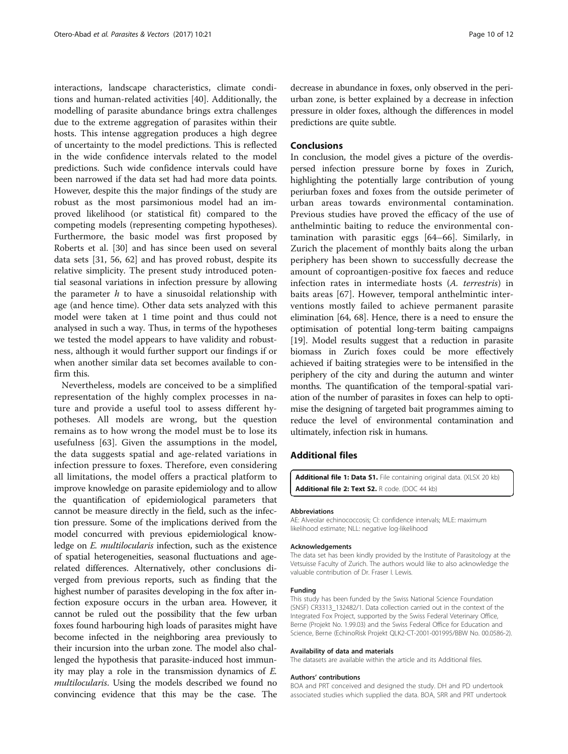<span id="page-9-0"></span>interactions, landscape characteristics, climate conditions and human-related activities [[40\]](#page-10-0). Additionally, the modelling of parasite abundance brings extra challenges due to the extreme aggregation of parasites within their hosts. This intense aggregation produces a high degree of uncertainty to the model predictions. This is reflected in the wide confidence intervals related to the model predictions. Such wide confidence intervals could have been narrowed if the data set had had more data points. However, despite this the major findings of the study are robust as the most parsimonious model had an improved likelihood (or statistical fit) compared to the competing models (representing competing hypotheses). Furthermore, the basic model was first proposed by Roberts et al. [\[30\]](#page-10-0) and has since been used on several data sets [[31,](#page-10-0) [56](#page-11-0), [62](#page-11-0)] and has proved robust, despite its relative simplicity. The present study introduced potential seasonal variations in infection pressure by allowing the parameter  $h$  to have a sinusoidal relationship with age (and hence time). Other data sets analyzed with this model were taken at 1 time point and thus could not analysed in such a way. Thus, in terms of the hypotheses we tested the model appears to have validity and robustness, although it would further support our findings if or when another similar data set becomes available to confirm this.

Nevertheless, models are conceived to be a simplified representation of the highly complex processes in nature and provide a useful tool to assess different hypotheses. All models are wrong, but the question remains as to how wrong the model must be to lose its usefulness [\[63](#page-11-0)]. Given the assumptions in the model, the data suggests spatial and age-related variations in infection pressure to foxes. Therefore, even considering all limitations, the model offers a practical platform to improve knowledge on parasite epidemiology and to allow the quantification of epidemiological parameters that cannot be measure directly in the field, such as the infection pressure. Some of the implications derived from the model concurred with previous epidemiological knowledge on E. multilocularis infection, such as the existence of spatial heterogeneities, seasonal fluctuations and agerelated differences. Alternatively, other conclusions diverged from previous reports, such as finding that the highest number of parasites developing in the fox after infection exposure occurs in the urban area. However, it cannot be ruled out the possibility that the few urban foxes found harbouring high loads of parasites might have become infected in the neighboring area previously to their incursion into the urban zone. The model also challenged the hypothesis that parasite-induced host immunity may play a role in the transmission dynamics of E. multilocularis. Using the models described we found no convincing evidence that this may be the case. The decrease in abundance in foxes, only observed in the periurban zone, is better explained by a decrease in infection pressure in older foxes, although the differences in model predictions are quite subtle.

# **Conclusions**

In conclusion, the model gives a picture of the overdispersed infection pressure borne by foxes in Zurich, highlighting the potentially large contribution of young periurban foxes and foxes from the outside perimeter of urban areas towards environmental contamination. Previous studies have proved the efficacy of the use of anthelmintic baiting to reduce the environmental contamination with parasitic eggs [\[64](#page-11-0)–[66](#page-11-0)]. Similarly, in Zurich the placement of monthly baits along the urban periphery has been shown to successfully decrease the amount of coproantigen-positive fox faeces and reduce infection rates in intermediate hosts (A. terrestris) in baits areas [\[67](#page-11-0)]. However, temporal anthelmintic interventions mostly failed to achieve permanent parasite elimination [[64](#page-11-0), [68](#page-11-0)]. Hence, there is a need to ensure the optimisation of potential long-term baiting campaigns [[19](#page-10-0)]. Model results suggest that a reduction in parasite biomass in Zurich foxes could be more effectively achieved if baiting strategies were to be intensified in the periphery of the city and during the autumn and winter months. The quantification of the temporal-spatial variation of the number of parasites in foxes can help to optimise the designing of targeted bait programmes aiming to reduce the level of environmental contamination and ultimately, infection risk in humans.

# Additional files

[Additional file 1: Data S1.](dx.doi.org/10.1186/s13071-016-1951-1) File containing original data. (XLSX 20 kb) [Additional file 2: Text S2.](dx.doi.org/10.1186/s13071-016-1951-1) R code. (DOC 44 kb)

#### Abbreviations

AE: Alveolar echinococcosis; CI: confidence intervals; MLE: maximum likelihood estimate; NLL: negative log-likelihood

#### Acknowledgements

The data set has been kindly provided by the Institute of Parasitology at the Vetsuisse Faculty of Zurich. The authors would like to also acknowledge the valuable contribution of Dr. Fraser I. Lewis.

#### Funding

This study has been funded by the Swiss National Science Foundation (SNSF) CR3313\_132482/1. Data collection carried out in the context of the Integrated Fox Project, supported by the Swiss Federal Veterinary Office, Berne (Projekt No. 1.99.03) and the Swiss Federal Office for Education and Science, Berne (EchinoRisk Projekt QLK2-CT-2001-001995/BBW No. 00.0586-2).

#### Availability of data and materials

The datasets are available within the article and its Additional files.

#### Authors' contributions

BOA and PRT conceived and designed the study. DH and PD undertook associated studies which supplied the data. BOA, SRR and PRT undertook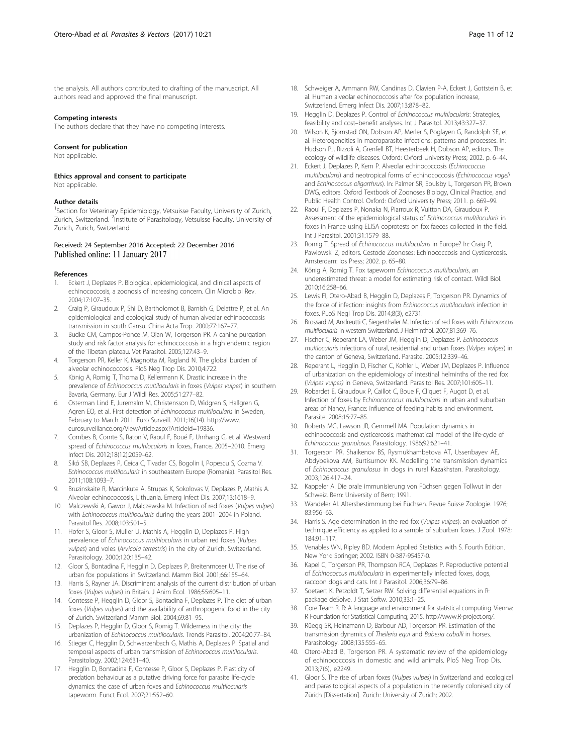<span id="page-10-0"></span>the analysis. All authors contributed to drafting of the manuscript. All authors read and approved the final manuscript.

#### Competing interests

The authors declare that they have no competing interests.

#### Consent for publication

Not applicable.

Ethics approval and consent to participate Not applicable

#### Author details

<sup>1</sup>Section for Veterinary Epidemiology, Vetsuisse Faculty, University of Zurich, Zurich, Switzerland. <sup>2</sup>Institute of Parasitology, Vetsuisse Faculty, University of Zurich, Zurich, Switzerland.

### Received: 24 September 2016 Accepted: 22 December 2016 Published online: 11 January 2017

#### References

- 1. Eckert J, Deplazes P. Biological, epidemiological, and clinical aspects of echinococcosis, a zoonosis of increasing concern. Clin Microbiol Rev. 2004;17:107–35.
- 2. Craig P, Giraudoux P, Shi D, Bartholomot B, Barnish G, Delattre P, et al. An epidemiological and ecological study of human alveolar echinococcosis transmission in south Gansu. China Acta Trop. 2000;77:167–77.
- 3. Budke CM, Campos-Ponce M, Qian W, Torgerson PR. A canine purgation study and risk factor analysis for echinococcosis in a high endemic region of the Tibetan plateau. Vet Parasitol. 2005;127:43–9.
- 4. Torgerson PR, Keller K, Magnotta M, Ragland N. The global burden of alveolar echinococcosis. PloS Neg Trop Dis. 2010;4:722.
- 5. König A, Romig T, Thoma D, Kellermann K. Drastic increase in the prevalence of Echinococcus multilocularis in foxes (Vulpes vulpes) in southern Bavaria, Germany. Eur J Wildl Res. 2005;51:277–82.
- 6. Osterman Lind E, Juremalm M, Christensson D, Widgren S, Hallgren G, Agren EO, et al. First detection of Echinococcus multilocularis in Sweden, February to March 2011. Euro Surveill. 2011;16(14). [http://www.](http://www.eurosurveillance.org/ViewArticle.aspx?ArticleId=19836) [eurosurveillance.org/ViewArticle.aspx?ArticleId=19836](http://www.eurosurveillance.org/ViewArticle.aspx?ArticleId=19836).
- 7. Combes B, Comte S, Raton V, Raoul F, Boué F, Umhang G, et al. Westward spread of Echinococcus multilocularis in foxes, France, 2005–2010. Emerg Infect Dis. 2012;18(12):2059–62.
- 8. Sikó SB, Deplazes P, Ceica C, Tivadar CS, Bogolin I, Popescu S, Cozma V. Echinococcus multilocularis in southeastern Europe (Romania). Parasitol Res. 2011;108:1093–7.
- 9. Bruzinskaite R, Marcinkute A, Strupas K, Sokolovas V, Deplazes P, Mathis A. Alveolar echinococcosis, Lithuania. Emerg Infect Dis. 2007;13:1618–9.
- 10. Malczewski A, Gawor J, Malczewska M. Infection of red foxes (Vulpes vulpes) with Echinococcus multilocularis during the years 2001–2004 in Poland. Parasitol Res. 2008;103:501–5.
- 11. Hofer S, Gloor S, Muller U, Mathis A, Hegglin D, Deplazes P. High prevalence of Echinococcus multilocularis in urban red foxes (Vulpes vulpes) and voles (Arvicola terrestris) in the city of Zurich, Switzerland. Parasitology. 2000;120:135–42.
- 12. Gloor S, Bontadina F, Hegglin D, Deplazes P, Breitenmoser U. The rise of urban fox populations in Switzerland. Mamm Biol. 2001;66:155–64.
- 13. Harris S, Rayner JA. Discriminant analysis of the current distribution of urban foxes (Vulpes vulpes) in Britain. J Anim Ecol. 1986;55:605–11.
- 14. Contesse P, Hegglin D, Gloor S, Bontadina F, Deplazes P. The diet of urban foxes (Vulpes vulpes) and the availability of anthropogenic food in the city of Zurich. Switzerland Mamm Biol. 2004;69:81–95.
- 15. Deplazes P, Hegglin D, Gloor S, Romig T. Wilderness in the city: the urbanization of Echinococcus multilocularis. Trends Parasitol. 2004;20:77–84.
- 16. Stieger C, Hegglin D, Schwarzenbach G, Mathis A, Deplazes P. Spatial and temporal aspects of urban transmission of Echinococcus multilocularis. Parasitology. 2002;124:631–40.
- 17. Hegglin D, Bontadina F, Contesse P, Gloor S, Deplazes P. Plasticity of predation behaviour as a putative driving force for parasite life-cycle dynamics: the case of urban foxes and Echinococcus multilocularis tapeworm. Funct Ecol. 2007;21:552–60.
- 18. Schweiger A, Ammann RW, Candinas D, Clavien P-A, Eckert J, Gottstein B, et al. Human alveolar echinococcosis after fox population increase, Switzerland. Emerg Infect Dis. 2007;13:878–82.
- 19. Hegglin D, Deplazes P. Control of Echinococcus multilocularis: Strategies, feasibility and cost–benefit analyses. Int J Parasitol. 2013;43:327–37.
- 20. Wilson K, Bjornstad ON, Dobson AP, Merler S, Poglayen G, Randolph SE, et al. Heterogeneities in macroparasite infections: patterns and processes. In: Hudson PJ, Rizzoli A, Grenfell BT, Heesterbeek H, Dobson AP, editors. The ecology of wildlife diseases. Oxford: Oxford University Press; 2002. p. 6–44.
- 21. Eckert J, Deplazes P, Kern P. Alveolar echinococcosis (Echinococcus multilocularis) and neotropical forms of echinococcosis (Echinococcus vogeli and Echinococcus oligarthrus). In: Palmer SR, Soulsby L, Torgerson PR, Brown DWG, editors. Oxford Textbook of Zoonoses Biology, Clinical Practice, and Public Health Control. Oxford: Oxford University Press; 2011. p. 669–99.
- 22. Raoul F, Deplazes P, Nonaka N, Piarroux R, Vuitton DA, Giraudoux P. Assessment of the epidemiological status of Echinococcus multilocularis in foxes in France using ELISA coprotests on fox faeces collected in the field. Int J Parasitol. 2001;31:1579–88.
- 23. Romig T. Spread of Echinococcus multilocularis in Europe? In: Craig P, Pawlowski Z, editors. Cestode Zoonoses: Echinococcosis and Cysticercosis. Amsterdam: Ios Press; 2002. p. 65–80.
- 24. König A, Romig T. Fox tapeworm Echinococcus multilocularis, an underestimated threat: a model for estimating risk of contact. Wildl Biol. 2010;16:258–66.
- 25. Lewis FI, Otero-Abad B, Hegglin D, Deplazes P, Torgerson PR. Dynamics of the force of infection: insights from Echinococcus multilocularis infection in foxes. PLoS Negl Trop Dis. 2014;8(3), e2731.
- 26. Brossard M, Andreutti C, Siegenthaler M. Infection of red foxes with Echinococcus multilocularis in western Switzerland. J Helminthol. 2007;81:369–76.
- 27. Fischer C, Reperant LA, Weber JM, Hegglin D, Deplazes P. Echinococcus multlocularis infections of rural, residential and urban foxes (Vulpes vulpes) in the canton of Geneva, Switzerland. Parasite. 2005;12:339–46.
- 28. Reperant L, Hegglin D, Fischer C, Kohler L, Weber JM, Deplazes P. Influence of urbanization on the epidemiology of intestinal helminths of the red fox (Vulpes vulpes) in Geneva, Switzerland. Parasitol Res. 2007;101:605–11.
- 29. Robardet E, Giraudoux P, Caillot C, Boue F, Cliquet F, Augot D, et al. Infection of foxes by Echinococcocus multilocularis in urban and suburban areas of Nancy, France: influence of feeding habits and environment. Parasite. 2008;15:77–85.
- 30. Roberts MG, Lawson JR, Gemmell MA. Population dynamics in echinococcosis and cysticercosis: mathematical model of the life-cycle of Echinococcus granulosus. Parasitology. 1986;92:621–41.
- 31. Torgerson PR, Shaikenov BS, Rysmukhambetova AT, Ussenbayev AE, Abdybekova AM, Burtisurnov KK. Modelling the transmission dynamics of Echinococcus granulosus in dogs in rural Kazakhstan. Parasitology. 2003;126:417–24.
- 32. Kappeler A. Die orale immunisierung von Füchsen gegen Tollwut in der Schweiz. Bern: University of Bern; 1991.
- 33. Wandeler AI. Altersbestimmung bei Füchsen. Revue Suisse Zoologie. 1976; 83:956–63.
- 34. Harris S. Age determination in the red fox (Vulpes vulpes): an evaluation of technique efficiency as applied to a sample of suburban foxes. J Zool. 1978; 184:91–117.
- Venables WN, Ripley BD. Modern Applied Statistics with S. Fourth Edition. New York: Springer; 2002. ISBN 0-387-95457-0.
- 36. Kapel C, Torgerson PR, Thompson RCA, Deplazes P. Reproductive potential of Echinococcus multilocularis in experimentally infected foxes, dogs, raccoon dogs and cats. Int J Parasitol. 2006;36:79–86.
- 37. Soetaert K, Petzoldt T, Setzer RW. Solving differential equations in R: package deSolve. J Stat Softw. 2010;33:1–25.
- 38. Core Team R. R: A language and environment for statistical computing. Vienna: R Foundation for Statistical Computing; 2015. [http://www.R-project.org/.](http://www.r-project.org/)
- 39. Rüegg SR, Heinzmann D, Barbour AD, Torgerson PR. Estimation of the transmission dynamics of Theileria equi and Babesia caballi in horses. Parasitology. 2008;135:555–65.
- 40. Otero-Abad B, Torgerson PR. A systematic review of the epidemiology of echinococcosis in domestic and wild animals. PloS Neg Trop Dis. 2013;7(6), e2249.
- 41. Gloor S. The rise of urban foxes (Vulpes vulpes) in Switzerland and ecological and parasitological aspects of a population in the recently colonised city of Zürich [Dissertation]. Zurich: University of Zurich; 2002.